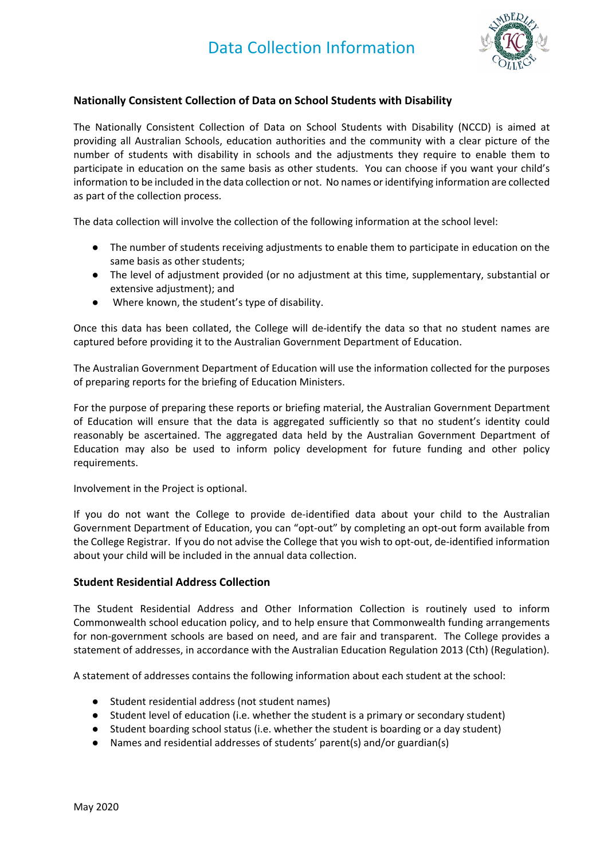

## **Nationally Consistent Collection of Data on School Students with Disability**

The Nationally Consistent Collection of Data on School Students with Disability (NCCD) is aimed at providing all Australian Schools, education authorities and the community with a clear picture of the number of students with disability in schools and the adjustments they require to enable them to participate in education on the same basis as other students. You can choose if you want your child's information to be included in the data collection or not. No names or identifying information are collected as part of the collection process.

The data collection will involve the collection of the following information at the school level:

- The number of students receiving adjustments to enable them to participate in education on the same basis as other students;
- The level of adjustment provided (or no adjustment at this time, supplementary, substantial or extensive adjustment); and
- Where known, the student's type of disability.

Once this data has been collated, the College will de‐identify the data so that no student names are captured before providing it to the Australian Government Department of Education.

The Australian Government Department of Education will use the information collected for the purposes of preparing reports for the briefing of Education Ministers.

For the purpose of preparing these reports or briefing material, the Australian Government Department of Education will ensure that the data is aggregated sufficiently so that no student's identity could reasonably be ascertained. The aggregated data held by the Australian Government Department of Education may also be used to inform policy development for future funding and other policy requirements.

Involvement in the Project is optional.

If you do not want the College to provide de‐identified data about your child to the Australian Government Department of Education, you can "opt‐out" by completing an opt‐out form available from the College Registrar. If you do not advise the College that you wish to opt‐out, de‐identified information about your child will be included in the annual data collection.

## **Student Residential Address Collection**

The Student Residential Address and Other Information Collection is routinely used to inform Commonwealth school education policy, and to help ensure that Commonwealth funding arrangements for non‐government schools are based on need, and are fair and transparent. The College provides a statement of addresses, in accordance with the Australian Education Regulation 2013 (Cth) (Regulation).

A statement of addresses contains the following information about each student at the school:

- Student residential address (not student names)
- Student level of education (i.e. whether the student is a primary or secondary student)
- Student boarding school status (i.e. whether the student is boarding or a day student)
- Names and residential addresses of students' parent(s) and/or guardian(s)